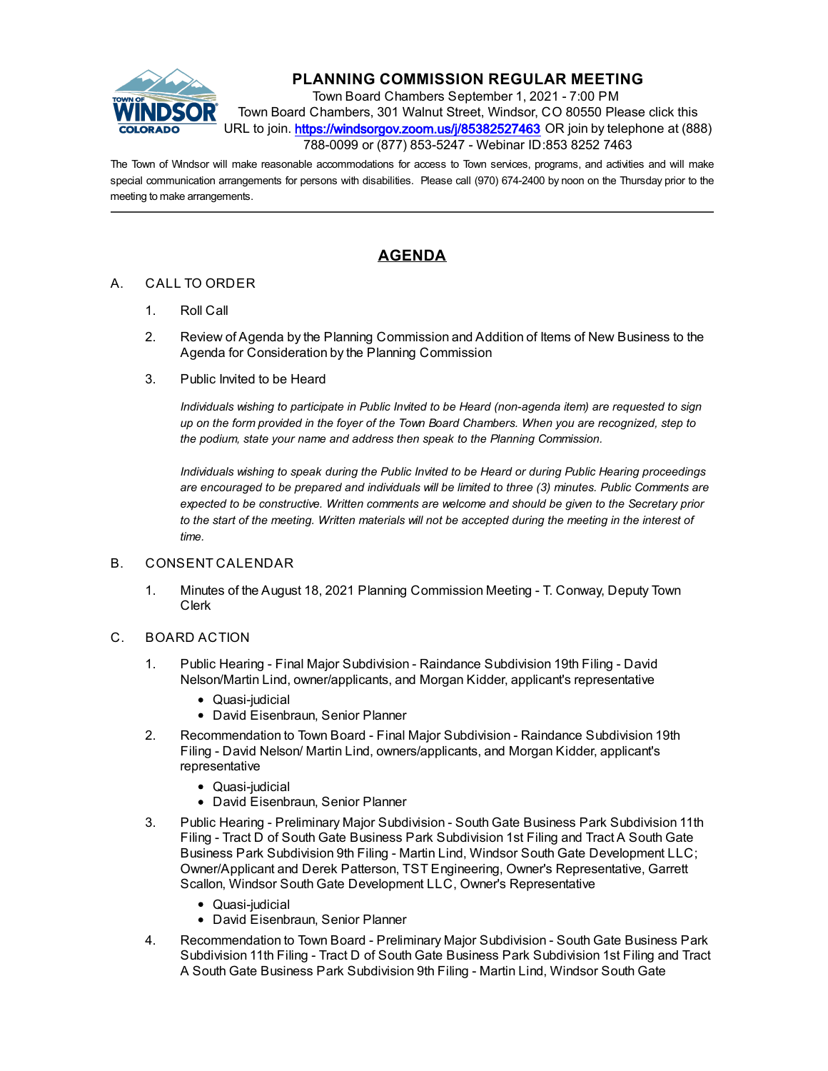

## **PLANNING COMMISSION REGULAR MEETING**

Town Board Chambers September 1, 2021 - 7:00 PM Town Board Chambers, 301 Walnut Street, Windsor, CO 80550 Please click this URL to join. https://windsorgov.zoom.us/i/85382527463 OR join by telephone at (888) 788-0099 or (877) 853-5247 - Webinar ID:853 8252 7463

The Town of Windsor will make reasonable accommodations for access to Town services, programs, and activities and will make special communication arrangements for persons with disabilities. Please call (970) 674-2400 by noon on the Thursday prior to the meeting to make arrangements.

## **AGENDA**

## A. CALL TO ORDER

- 1. Roll Call
- 2. Review of Agenda by the Planning Commission and Addition of Items of New Business to the Agenda for Consideration by the Planning Commission
- 3. Public Invited to be Heard

*Individuals wishing to participate in Public Invited to be Heard (non-agenda item) are requested to sign up on the form provided in the foyer of the Town Board Chambers. When you are recognized, step to the podium, state your name and address then speak to the Planning Commission.*

*Individuals wishing to speak during the Public Invited to be Heard or during Public Hearing proceedings are encouraged to be prepared and individuals will be limited to three (3) minutes. Public Comments are expected to be constructive. Written comments are welcome and should be given to the Secretary prior to the start of the meeting. Written materials will not be accepted during the meeting in the interest of time.*

## B. CONSENT CALENDAR

- 1. [Minutes of the August 18, 2021 Planning Commission Meeting T. Conway, Deputy Town](file:///C:/Windows/TEMP/CoverSheet.aspx?ItemID=1623&MeetingID=244) Clerk
- C. BOARD ACTION
	- 1. [Public Hearing Final Major Subdivision Raindance Subdivision 19th Filing David](file:///C:/Windows/TEMP/CoverSheet.aspx?ItemID=1618&MeetingID=244) Nelson/Martin Lind, owner/applicants, and Morgan Kidder, applicant's representative
		- Quasi-judicial
		- David Eisenbraun, Senior Planner
	- 2. [Recommendation to Town Board Final Major Subdivision Raindance Subdivision 19th](file:///C:/Windows/TEMP/CoverSheet.aspx?ItemID=1619&MeetingID=244) Filing - David Nelson/ Martin Lind, owners/applicants, and Morgan Kidder, applicant's representative
		- Quasi-judicial
		- David Eisenbraun, Senior Planner
	- 3. [Public Hearing Preliminary Major Subdivision South Gate Business Park Subdivision 11th](file:///C:/Windows/TEMP/CoverSheet.aspx?ItemID=1620&MeetingID=244) Filing - Tract D of South Gate Business Park Subdivision 1st Filing and Tract A South Gate Business Park Subdivision 9th Filing - Martin Lind, Windsor South Gate Development LLC; Owner/Applicant and Derek Patterson, TST Engineering, Owner's Representative, Garrett Scallon, Windsor South Gate Development LLC, Owner's Representative
		- Quasi-judicial
		- David Eisenbraun, Senior Planner
	- 4. Recommendation to Town Board Preliminary Major Subdivision South Gate Business Park [Subdivision 11th Filing - Tract D of South Gate Business Park Subdivision 1st Filing and Tract](file:///C:/Windows/TEMP/CoverSheet.aspx?ItemID=1621&MeetingID=244) A South Gate Business Park Subdivision 9th Filing - Martin Lind, Windsor South Gate